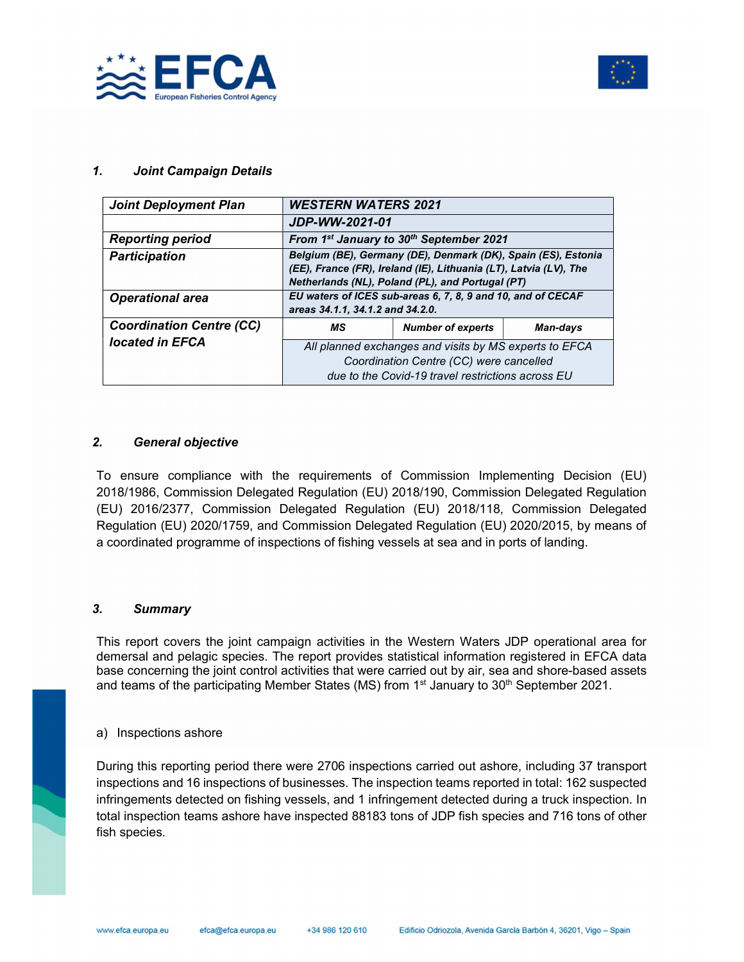



#### 1. Joint Campaign Details

| <b>Joint Deployment Plan</b>    | <b>WESTERN WATERS 2021</b>                                      |                                                                   |                 |  |  |
|---------------------------------|-----------------------------------------------------------------|-------------------------------------------------------------------|-----------------|--|--|
|                                 | JDP-WW-2021-01                                                  |                                                                   |                 |  |  |
| <b>Reporting period</b>         | From 1 <sup>st</sup> January to 30 <sup>th</sup> September 2021 |                                                                   |                 |  |  |
| <b>Participation</b>            | Belgium (BE), Germany (DE), Denmark (DK), Spain (ES), Estonia   |                                                                   |                 |  |  |
|                                 |                                                                 | (EE), France (FR), Ireland (IE), Lithuania (LT), Latvia (LV), The |                 |  |  |
|                                 |                                                                 | Netherlands (NL), Poland (PL), and Portugal (PT)                  |                 |  |  |
| <b>Operational area</b>         |                                                                 | EU waters of ICES sub-areas 6, 7, 8, 9 and 10, and of CECAF       |                 |  |  |
|                                 | areas 34.1.1, 34.1.2 and 34.2.0.                                |                                                                   |                 |  |  |
|                                 |                                                                 |                                                                   |                 |  |  |
| <b>Coordination Centre (CC)</b> | МS                                                              | <b>Number of experts</b>                                          | <b>Man-days</b> |  |  |
| located in EFCA                 |                                                                 | All planned exchanges and visits by MS experts to EFCA            |                 |  |  |
|                                 |                                                                 | Coordination Centre (CC) were cancelled                           |                 |  |  |

#### 2. General objective

To ensure compliance with the requirements of Commission Implementing Decision (EU) 2018/1986, Commission Delegated Regulation (EU) 2018/190, Commission Delegated Regulation (EU) 2016/2377, Commission Delegated Regulation (EU) 2018/118, Commission Delegated Regulation (EU) 2020/1759, and Commission Delegated Regulation (EU) 2020/2015, by means of a coordinated programme of inspections of fishing vessels at sea and in ports of landing.

### 3. Summary

This report covers the joint campaign activities in the Western Waters JDP operational area for demersal and pelagic species. The report provides statistical information registered in EFCA data base concerning the joint control activities that were carried out by air, sea and shore-based assets and teams of the participating Member States (MS) from  $1<sup>st</sup>$  January to 30<sup>th</sup> September 2021.

#### a) Inspections ashore

During this reporting period there were 2706 inspections carried out ashore, including 37 transport inspections and 16 inspections of businesses. The inspection teams reported in total: 162 suspected infringements detected on fishing vessels, and 1 infringement detected during a truck inspection. In total inspection teams ashore have inspected 88183 tons of JDP fish species and 716 tons of other fish species.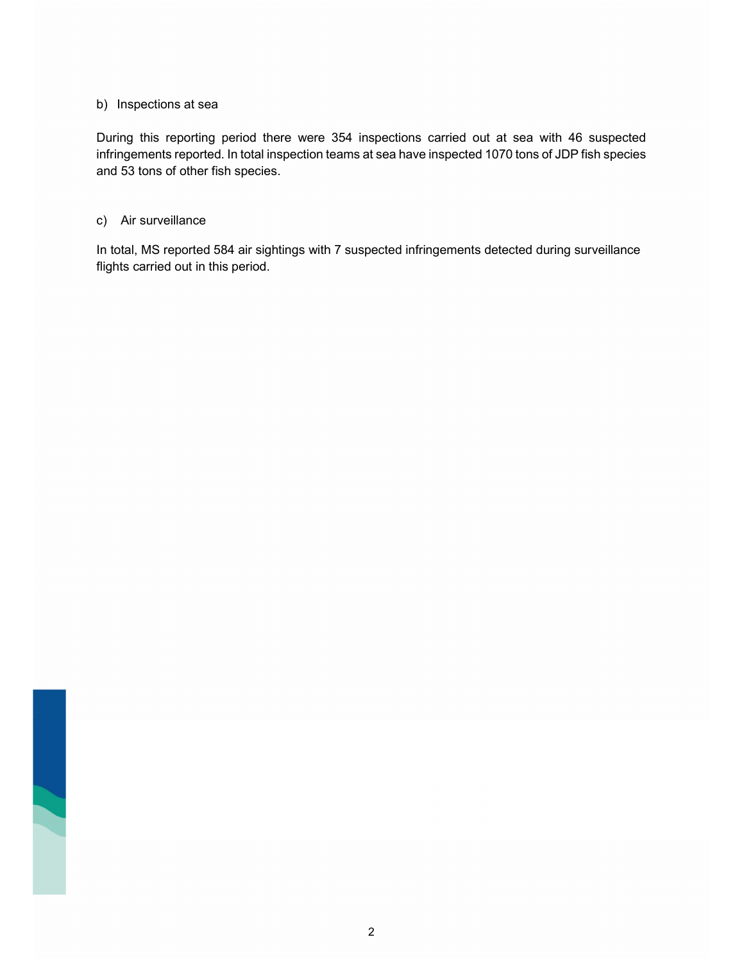#### b) Inspections at sea

During this reporting period there were 354 inspections carried out at sea with 46 suspected infringements reported. In total inspection teams at sea have inspected 1070 tons of JDP fish species and 53 tons of other fish species.

#### c) Air surveillance

In total, MS reported 584 air sightings with 7 suspected infringements detected during surveillance flights carried out in this period.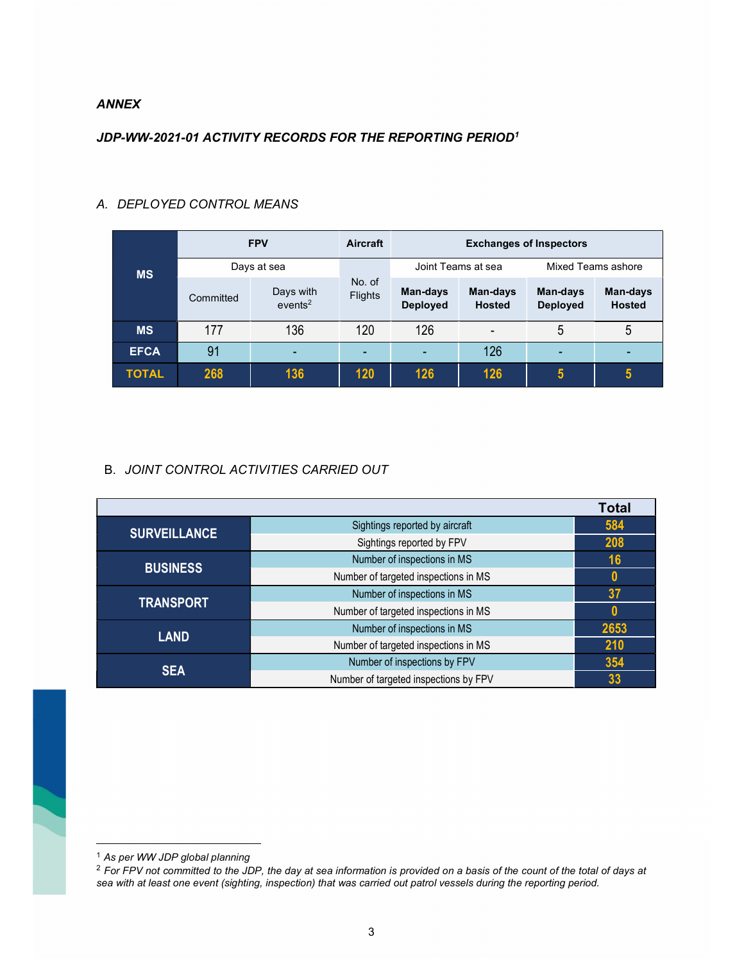#### ANNEX

## JDP-WW-2021-01 ACTIVITY RECORDS FOR THE REPORTING PERIOD<sup>1</sup>

| <b>MS</b>    | <b>FPV</b>  |                                  | <b>Aircraft</b>   | <b>Exchanges of Inspectors</b> |                           |                             |                           |
|--------------|-------------|----------------------------------|-------------------|--------------------------------|---------------------------|-----------------------------|---------------------------|
|              | Days at sea |                                  |                   | Joint Teams at sea             |                           | Mixed Teams ashore          |                           |
|              | Committed   | Days with<br>events <sup>2</sup> | No. of<br>Flights | Man-days<br><b>Deployed</b>    | Man-days<br><b>Hosted</b> | Man-days<br><b>Deployed</b> | Man-days<br><b>Hosted</b> |
| <b>MS</b>    | 177         | 136                              | 120               | 126                            |                           | 5                           | 5                         |
| <b>EFCA</b>  | 91          |                                  | $\blacksquare$    | ٠                              | 126                       |                             |                           |
| <b>TOTAL</b> | 268         | 136                              | 120               | 126                            | 126                       | 5                           | 5                         |

## A. DEPLOYED CONTROL MEANS

## B. JOINT CONTROL ACTIVITIES CARRIED OUT

| <b>Total</b>        |                                       |      |  |  |
|---------------------|---------------------------------------|------|--|--|
| <b>SURVEILLANCE</b> | Sightings reported by aircraft        | 584  |  |  |
|                     | Sightings reported by FPV             | 208  |  |  |
|                     | Number of inspections in MS           | 16   |  |  |
| <b>BUSINESS</b>     | Number of targeted inspections in MS  |      |  |  |
|                     | Number of inspections in MS           | 37   |  |  |
| <b>TRANSPORT</b>    | Number of targeted inspections in MS  |      |  |  |
| <b>LAND</b>         | Number of inspections in MS           | 2653 |  |  |
|                     | Number of targeted inspections in MS  | 210  |  |  |
| <b>SEA</b>          | Number of inspections by FPV          | 354  |  |  |
|                     | Number of targeted inspections by FPV |      |  |  |

<sup>1</sup> As per WW JDP global planning

<sup>&</sup>lt;sup>2</sup> For FPV not committed to the JDP, the day at sea information is provided on a basis of the count of the total of days at sea with at least one event (sighting, inspection) that was carried out patrol vessels during the reporting period.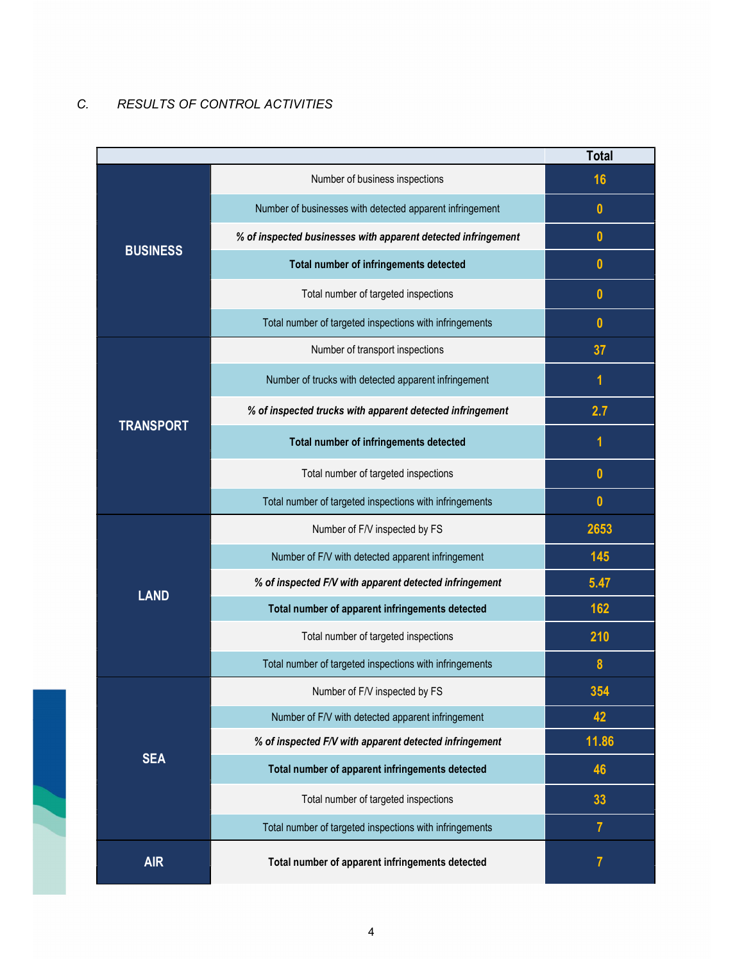# C. RESULTS OF CONTROL ACTIVITIES

i.

|                  |                                                               | <b>Total</b>   |
|------------------|---------------------------------------------------------------|----------------|
|                  | Number of business inspections                                | 16             |
|                  | Number of businesses with detected apparent infringement      | $\mathbf{0}$   |
|                  | % of inspected businesses with apparent detected infringement | $\mathbf{0}$   |
| <b>BUSINESS</b>  | Total number of infringements detected                        | $\mathbf{0}$   |
|                  | Total number of targeted inspections                          | $\mathbf{0}$   |
|                  | Total number of targeted inspections with infringements       | $\mathbf{0}$   |
|                  | Number of transport inspections                               | 37             |
|                  | Number of trucks with detected apparent infringement          | 1              |
|                  | % of inspected trucks with apparent detected infringement     | 2.7            |
| <b>TRANSPORT</b> | Total number of infringements detected                        | 1              |
|                  | Total number of targeted inspections                          | $\mathbf{0}$   |
|                  | Total number of targeted inspections with infringements       | $\mathbf{0}$   |
|                  | Number of F/V inspected by FS                                 | 2653           |
|                  | Number of F/V with detected apparent infringement             | 145            |
|                  | % of inspected F/V with apparent detected infringement        | 5.47           |
| <b>LAND</b>      | Total number of apparent infringements detected               | 162            |
|                  | Total number of targeted inspections                          | 210            |
|                  | Total number of targeted inspections with infringements       | 8              |
|                  | Number of F/V inspected by FS                                 | 354            |
|                  | Number of F/V with detected apparent infringement             | 42             |
|                  | % of inspected F/V with apparent detected infringement        | 11.86          |
| <b>SEA</b>       | Total number of apparent infringements detected               | 46             |
|                  | Total number of targeted inspections                          | 33             |
|                  | Total number of targeted inspections with infringements       | $\overline{7}$ |
| <b>AIR</b>       | Total number of apparent infringements detected               | 7              |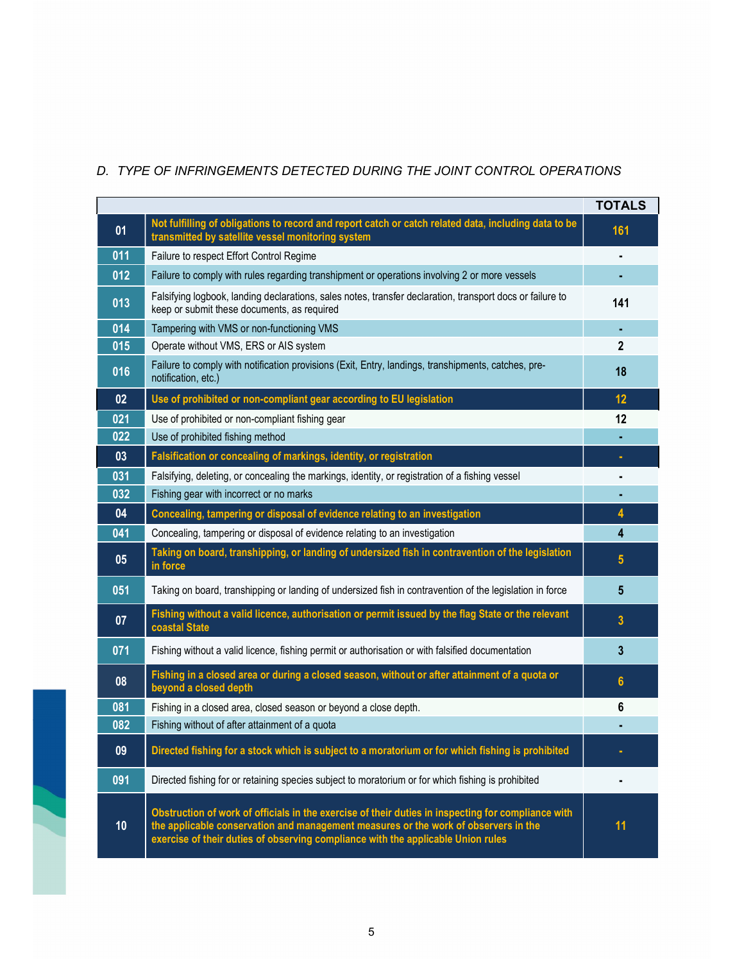## D. TYPE OF INFRINGEMENTS DETECTED DURING THE JOINT CONTROL OPERATIONS

|     |                                                                                                                                                                                                                                                                               | <b>TOTALS</b> |
|-----|-------------------------------------------------------------------------------------------------------------------------------------------------------------------------------------------------------------------------------------------------------------------------------|---------------|
| 01  | Not fulfilling of obligations to record and report catch or catch related data, including data to be<br>transmitted by satellite vessel monitoring system                                                                                                                     | 161           |
| 011 | Failure to respect Effort Control Regime                                                                                                                                                                                                                                      |               |
| 012 | Failure to comply with rules regarding transhipment or operations involving 2 or more vessels                                                                                                                                                                                 |               |
| 013 | Falsifying logbook, landing declarations, sales notes, transfer declaration, transport docs or failure to<br>keep or submit these documents, as required                                                                                                                      | 141           |
| 014 | Tampering with VMS or non-functioning VMS                                                                                                                                                                                                                                     |               |
| 015 | Operate without VMS, ERS or AIS system                                                                                                                                                                                                                                        | $\mathbf{2}$  |
| 016 | Failure to comply with notification provisions (Exit, Entry, landings, transhipments, catches, pre-<br>notification, etc.)                                                                                                                                                    | 18            |
| 02  | Use of prohibited or non-compliant gear according to EU legislation                                                                                                                                                                                                           | 12            |
| 021 | Use of prohibited or non-compliant fishing gear                                                                                                                                                                                                                               | 12            |
| 022 | Use of prohibited fishing method                                                                                                                                                                                                                                              |               |
| 03  | Falsification or concealing of markings, identity, or registration                                                                                                                                                                                                            |               |
| 031 | Falsifying, deleting, or concealing the markings, identity, or registration of a fishing vessel                                                                                                                                                                               |               |
| 032 | Fishing gear with incorrect or no marks                                                                                                                                                                                                                                       |               |
| 04  | Concealing, tampering or disposal of evidence relating to an investigation                                                                                                                                                                                                    | 4             |
| 041 | Concealing, tampering or disposal of evidence relating to an investigation                                                                                                                                                                                                    | 4             |
| 05  | Taking on board, transhipping, or landing of undersized fish in contravention of the legislation<br>in force                                                                                                                                                                  | 5             |
| 051 | Taking on board, transhipping or landing of undersized fish in contravention of the legislation in force                                                                                                                                                                      | 5             |
| 07  | Fishing without a valid licence, authorisation or permit issued by the flag State or the relevant<br>coastal State                                                                                                                                                            | 3             |
| 071 | Fishing without a valid licence, fishing permit or authorisation or with falsified documentation                                                                                                                                                                              | 3             |
| 08  | Fishing in a closed area or during a closed season, without or after attainment of a quota or<br>beyond a closed depth                                                                                                                                                        | 6             |
| 081 | Fishing in a closed area, closed season or beyond a close depth.                                                                                                                                                                                                              | 6             |
| 082 | Fishing without of after attainment of a quota                                                                                                                                                                                                                                |               |
| 09  | Directed fishing for a stock which is subject to a moratorium or for which fishing is prohibited                                                                                                                                                                              |               |
| 091 | Directed fishing for or retaining species subject to moratorium or for which fishing is prohibited                                                                                                                                                                            |               |
| 10  | Obstruction of work of officials in the exercise of their duties in inspecting for compliance with<br>the applicable conservation and management measures or the work of observers in the<br>exercise of their duties of observing compliance with the applicable Union rules | 11            |